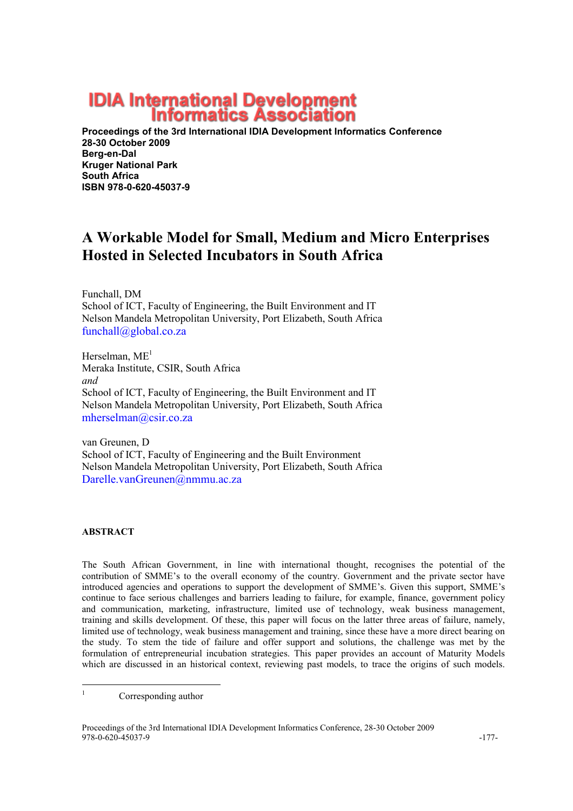# **IDIA International Development<br>Informatics Association**

Proceedings of the 3rd International IDIA Development Informatics Conference 28-30 October 2009 Berg-en-Dal Kruger National Park South Africa ISBN 978-0-620-45037-9

## A Workable Model for Small, Medium and Micro Enterprises Hosted in Selected Incubators in South Africa

Funchall, DM School of ICT, Faculty of Engineering, the Built Environment and IT Nelson Mandela Metropolitan University, Port Elizabeth, South Africa funchall@global.co.za

Herselman,  $ME<sup>1</sup>$ Meraka Institute, CSIR, South Africa and School of ICT, Faculty of Engineering, the Built Environment and IT Nelson Mandela Metropolitan University, Port Elizabeth, South Africa mherselman@csir.co.za

van Greunen, D School of ICT, Faculty of Engineering and the Built Environment Nelson Mandela Metropolitan University, Port Elizabeth, South Africa Darelle.vanGreunen@nmmu.ac.za

#### ABSTRACT

The South African Government, in line with international thought, recognises the potential of the contribution of SMME's to the overall economy of the country. Government and the private sector have introduced agencies and operations to support the development of SMME's. Given this support, SMME's continue to face serious challenges and barriers leading to failure, for example, finance, government policy and communication, marketing, infrastructure, limited use of technology, weak business management, training and skills development. Of these, this paper will focus on the latter three areas of failure, namely, limited use of technology, weak business management and training, since these have a more direct bearing on the study. To stem the tide of failure and offer support and solutions, the challenge was met by the formulation of entrepreneurial incubation strategies. This paper provides an account of Maturity Models which are discussed in an historical context, reviewing past models, to trace the origins of such models.

<sup>|&</sup>lt;br>|<br>| Corresponding author

Proceedings of the 3rd International IDIA Development Informatics Conference, 28-30 October 2009 978-0-620-45037-9 -177-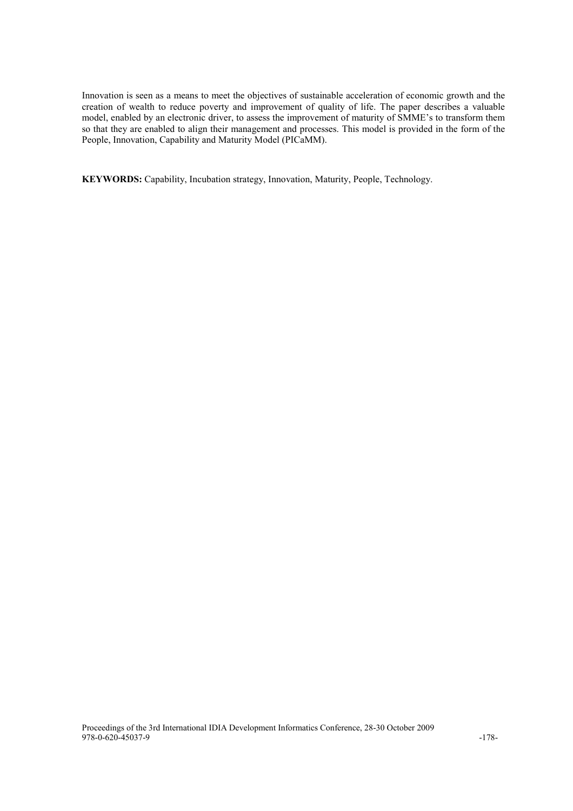Innovation is seen as a means to meet the objectives of sustainable acceleration of economic growth and the creation of wealth to reduce poverty and improvement of quality of life. The paper describes a valuable model, enabled by an electronic driver, to assess the improvement of maturity of SMME's to transform them so that they are enabled to align their management and processes. This model is provided in the form of the People, Innovation, Capability and Maturity Model (PICaMM).

KEYWORDS: Capability, Incubation strategy, Innovation, Maturity, People, Technology.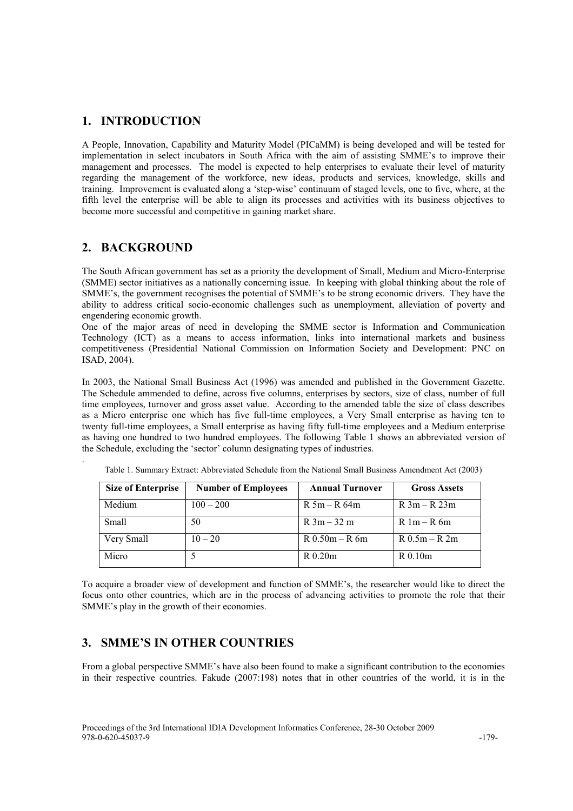#### 1. INTRODUCTION

A People, Innovation, Capability and Maturity Model (PICaMM) is being developed and will be tested for implementation in select incubators in South Africa with the aim of assisting SMME's to improve their management and processes. The model is expected to help enterprises to evaluate their level of maturity regarding the management of the workforce, new ideas, products and services, knowledge, skills and training. Improvement is evaluated along a 'step-wise' continuum of staged levels, one to five, where, at the fifth level the enterprise will be able to align its processes and activities with its business objectives to become more successful and competitive in gaining market share.

#### 2. BACKGROUND

.

The South African government has set as a priority the development of Small, Medium and Micro-Enterprise (SMME) sector initiatives as a nationally concerning issue. In keeping with global thinking about the role of SMME's, the government recognises the potential of SMME's to be strong economic drivers. They have the ability to address critical socio-economic challenges such as unemployment, alleviation of poverty and engendering economic growth.

One of the major areas of need in developing the SMME sector is Information and Communication Technology (ICT) as a means to access information, links into international markets and business competitiveness (Presidential National Commission on Information Society and Development: PNC on ISAD, 2004).

In 2003, the National Small Business Act (1996) was amended and published in the Government Gazette. The Schedule ammended to define, across five columns, enterprises by sectors, size of class, number of full time employees, turnover and gross asset value. According to the amended table the size of class describes as a Micro enterprise one which has five full-time employees, a Very Small enterprise as having ten to twenty full-time employees, a Small enterprise as having fifty full-time employees and a Medium enterprise as having one hundred to two hundred employees. The following Table 1 shows an abbreviated version of the Schedule, excluding the 'sector' column designating types of industries.

| <b>Size of Enterprise</b> | <b>Number of Employees</b> | <b>Annual Turnover</b> | <b>Gross Assets</b> |
|---------------------------|----------------------------|------------------------|---------------------|
| Medium                    | $100 - 200$                | $R$ 5m – R 64m         | $R 3m - R 23m$      |
| Small                     | 50                         | $R \cdot 3m - 32m$     | $R_1m - R_2m$       |
| Very Small                | $10 - 20$                  | $R$ 0.50m – R 6m       | $R$ 0.5m – R 2m     |
| Micro                     |                            | $R$ 0.20 $m$           | R 0.10m             |

Table 1. Summary Extract: Abbreviated Schedule from the National Small Business Amendment Act (2003)

To acquire a broader view of development and function of SMME's, the researcher would like to direct the focus onto other countries, which are in the process of advancing activities to promote the role that their SMME's play in the growth of their economies.

## 3. SMME'S IN OTHER COUNTRIES

From a global perspective SMME's have also been found to make a significant contribution to the economies in their respective countries. Fakude (2007:198) notes that in other countries of the world, it is in the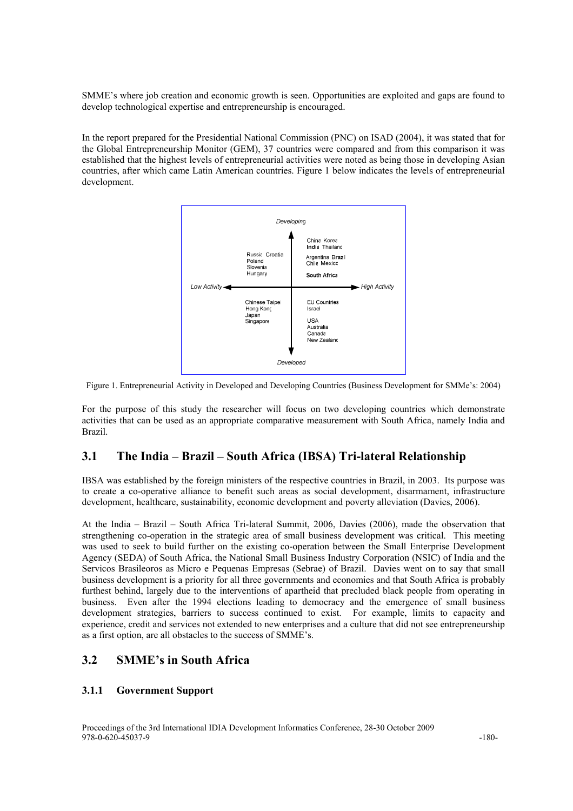SMME's where job creation and economic growth is seen. Opportunities are exploited and gaps are found to develop technological expertise and entrepreneurship is encouraged.

In the report prepared for the Presidential National Commission (PNC) on ISAD (2004), it was stated that for the Global Entrepreneurship Monitor (GEM), 37 countries were compared and from this comparison it was established that the highest levels of entrepreneurial activities were noted as being those in developing Asian countries, after which came Latin American countries. Figure 1 below indicates the levels of entrepreneurial development.



Figure 1. Entrepreneurial Activity in Developed and Developing Countries (Business Development for SMMe's: 2004)

For the purpose of this study the researcher will focus on two developing countries which demonstrate activities that can be used as an appropriate comparative measurement with South Africa, namely India and Brazil.

## 3.1 The India – Brazil – South Africa (IBSA) Tri-lateral Relationship

IBSA was established by the foreign ministers of the respective countries in Brazil, in 2003. Its purpose was to create a co-operative alliance to benefit such areas as social development, disarmament, infrastructure development, healthcare, sustainability, economic development and poverty alleviation (Davies, 2006).

At the India – Brazil – South Africa Tri-lateral Summit, 2006, Davies (2006), made the observation that strengthening co-operation in the strategic area of small business development was critical. This meeting was used to seek to build further on the existing co-operation between the Small Enterprise Development Agency (SEDA) of South Africa, the National Small Business Industry Corporation (NSIC) of India and the Servicos Brasileoros as Micro e Pequenas Empresas (Sebrae) of Brazil. Davies went on to say that small business development is a priority for all three governments and economies and that South Africa is probably furthest behind, largely due to the interventions of apartheid that precluded black people from operating in business. Even after the 1994 elections leading to democracy and the emergence of small business development strategies, barriers to success continued to exist. For example, limits to capacity and experience, credit and services not extended to new enterprises and a culture that did not see entrepreneurship as a first option, are all obstacles to the success of SMME's.

## 3.2 SMME's in South Africa

#### 3.1.1 Government Support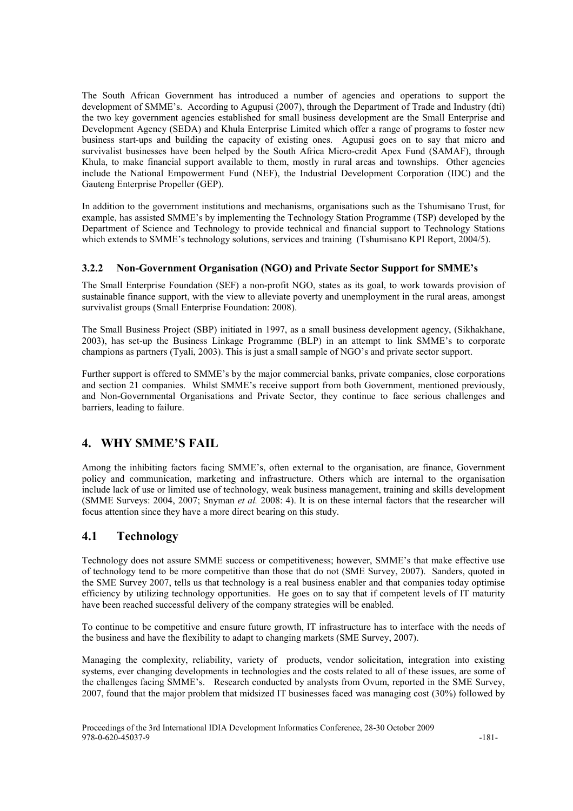The South African Government has introduced a number of agencies and operations to support the development of SMME's. According to Agupusi (2007), through the Department of Trade and Industry (dti) the two key government agencies established for small business development are the Small Enterprise and Development Agency (SEDA) and Khula Enterprise Limited which offer a range of programs to foster new business start-ups and building the capacity of existing ones. Agupusi goes on to say that micro and survivalist businesses have been helped by the South Africa Micro-credit Apex Fund (SAMAF), through Khula, to make financial support available to them, mostly in rural areas and townships. Other agencies include the National Empowerment Fund (NEF), the Industrial Development Corporation (IDC) and the Gauteng Enterprise Propeller (GEP).

In addition to the government institutions and mechanisms, organisations such as the Tshumisano Trust, for example, has assisted SMME's by implementing the Technology Station Programme (TSP) developed by the Department of Science and Technology to provide technical and financial support to Technology Stations which extends to SMME's technology solutions, services and training (Tshumisano KPI Report, 2004/5).

#### 3.2.2 Non-Government Organisation (NGO) and Private Sector Support for SMME's

The Small Enterprise Foundation (SEF) a non-profit NGO, states as its goal, to work towards provision of sustainable finance support, with the view to alleviate poverty and unemployment in the rural areas, amongst survivalist groups (Small Enterprise Foundation: 2008).

The Small Business Project (SBP) initiated in 1997, as a small business development agency, (Sikhakhane, 2003), has set-up the Business Linkage Programme (BLP) in an attempt to link SMME's to corporate champions as partners (Tyali, 2003). This is just a small sample of NGO's and private sector support.

Further support is offered to SMME's by the major commercial banks, private companies, close corporations and section 21 companies. Whilst SMME's receive support from both Government, mentioned previously, and Non-Governmental Organisations and Private Sector, they continue to face serious challenges and barriers, leading to failure.

## 4. WHY SMME'S FAIL

Among the inhibiting factors facing SMME's, often external to the organisation, are finance, Government policy and communication, marketing and infrastructure. Others which are internal to the organisation include lack of use or limited use of technology, weak business management, training and skills development (SMME Surveys: 2004, 2007; Snyman et al. 2008: 4). It is on these internal factors that the researcher will focus attention since they have a more direct bearing on this study.

## 4.1 Technology

Technology does not assure SMME success or competitiveness; however, SMME's that make effective use of technology tend to be more competitive than those that do not (SME Survey, 2007). Sanders, quoted in the SME Survey 2007, tells us that technology is a real business enabler and that companies today optimise efficiency by utilizing technology opportunities. He goes on to say that if competent levels of IT maturity have been reached successful delivery of the company strategies will be enabled.

To continue to be competitive and ensure future growth, IT infrastructure has to interface with the needs of the business and have the flexibility to adapt to changing markets (SME Survey, 2007).

Managing the complexity, reliability, variety of products, vendor solicitation, integration into existing systems, ever changing developments in technologies and the costs related to all of these issues, are some of the challenges facing SMME's. Research conducted by analysts from Ovum, reported in the SME Survey, 2007, found that the major problem that midsized IT businesses faced was managing cost (30%) followed by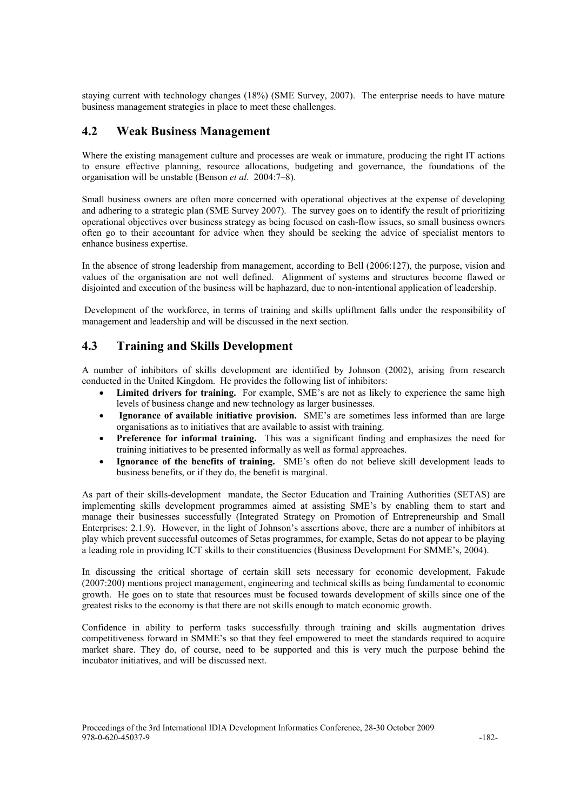staying current with technology changes (18%) (SME Survey, 2007). The enterprise needs to have mature business management strategies in place to meet these challenges.

### 4.2 Weak Business Management

Where the existing management culture and processes are weak or immature, producing the right IT actions to ensure effective planning, resource allocations, budgeting and governance, the foundations of the organisation will be unstable (Benson et al. 2004:7–8).

Small business owners are often more concerned with operational objectives at the expense of developing and adhering to a strategic plan (SME Survey 2007). The survey goes on to identify the result of prioritizing operational objectives over business strategy as being focused on cash-flow issues, so small business owners often go to their accountant for advice when they should be seeking the advice of specialist mentors to enhance business expertise.

In the absence of strong leadership from management, according to Bell (2006:127), the purpose, vision and values of the organisation are not well defined. Alignment of systems and structures become flawed or disjointed and execution of the business will be haphazard, due to non-intentional application of leadership.

 Development of the workforce, in terms of training and skills upliftment falls under the responsibility of management and leadership and will be discussed in the next section.

## 4.3 Training and Skills Development

A number of inhibitors of skills development are identified by Johnson (2002), arising from research conducted in the United Kingdom. He provides the following list of inhibitors:

- Limited drivers for training. For example, SME's are not as likely to experience the same high levels of business change and new technology as larger businesses.
- Ignorance of available initiative provision. SME's are sometimes less informed than are large organisations as to initiatives that are available to assist with training.
- Preference for informal training. This was a significant finding and emphasizes the need for training initiatives to be presented informally as well as formal approaches.
- Ignorance of the benefits of training. SME's often do not believe skill development leads to business benefits, or if they do, the benefit is marginal.

As part of their skills-development mandate, the Sector Education and Training Authorities (SETAS) are implementing skills development programmes aimed at assisting SME's by enabling them to start and manage their businesses successfully (Integrated Strategy on Promotion of Entrepreneurship and Small Enterprises: 2.1.9). However, in the light of Johnson's assertions above, there are a number of inhibitors at play which prevent successful outcomes of Setas programmes, for example, Setas do not appear to be playing a leading role in providing ICT skills to their constituencies (Business Development For SMME's, 2004).

In discussing the critical shortage of certain skill sets necessary for economic development, Fakude (2007:200) mentions project management, engineering and technical skills as being fundamental to economic growth. He goes on to state that resources must be focused towards development of skills since one of the greatest risks to the economy is that there are not skills enough to match economic growth.

Confidence in ability to perform tasks successfully through training and skills augmentation drives competitiveness forward in SMME's so that they feel empowered to meet the standards required to acquire market share. They do, of course, need to be supported and this is very much the purpose behind the incubator initiatives, and will be discussed next.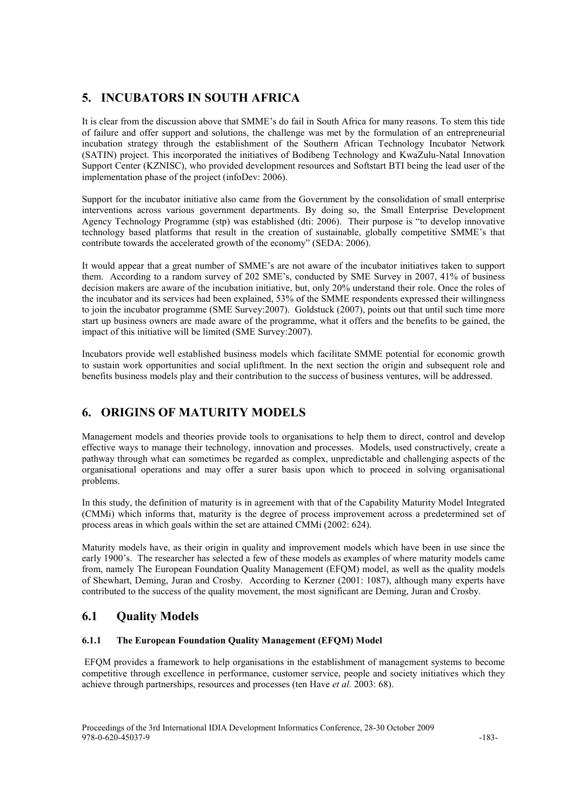## 5. INCUBATORS IN SOUTH AFRICA

It is clear from the discussion above that SMME's do fail in South Africa for many reasons. To stem this tide of failure and offer support and solutions, the challenge was met by the formulation of an entrepreneurial incubation strategy through the establishment of the Southern African Technology Incubator Network (SATIN) project. This incorporated the initiatives of Bodibeng Technology and KwaZulu-Natal Innovation Support Center (KZNISC), who provided development resources and Softstart BTI being the lead user of the implementation phase of the project (infoDev: 2006).

Support for the incubator initiative also came from the Government by the consolidation of small enterprise interventions across various government departments. By doing so, the Small Enterprise Development Agency Technology Programme (stp) was established (dti: 2006). Their purpose is "to develop innovative technology based platforms that result in the creation of sustainable, globally competitive SMME's that contribute towards the accelerated growth of the economy" (SEDA: 2006).

It would appear that a great number of SMME's are not aware of the incubator initiatives taken to support them. According to a random survey of 202 SME's, conducted by SME Survey in 2007, 41% of business decision makers are aware of the incubation initiative, but, only 20% understand their role. Once the roles of the incubator and its services had been explained, 53% of the SMME respondents expressed their willingness to join the incubator programme (SME Survey:2007). Goldstuck (2007), points out that until such time more start up business owners are made aware of the programme, what it offers and the benefits to be gained, the impact of this initiative will be limited (SME Survey:2007).

Incubators provide well established business models which facilitate SMME potential for economic growth to sustain work opportunities and social upliftment. In the next section the origin and subsequent role and benefits business models play and their contribution to the success of business ventures, will be addressed.

## 6. ORIGINS OF MATURITY MODELS

Management models and theories provide tools to organisations to help them to direct, control and develop effective ways to manage their technology, innovation and processes. Models, used constructively, create a pathway through what can sometimes be regarded as complex, unpredictable and challenging aspects of the organisational operations and may offer a surer basis upon which to proceed in solving organisational problems.

In this study, the definition of maturity is in agreement with that of the Capability Maturity Model Integrated (CMMi) which informs that, maturity is the degree of process improvement across a predetermined set of process areas in which goals within the set are attained CMMi (2002: 624).

Maturity models have, as their origin in quality and improvement models which have been in use since the early 1900's. The researcher has selected a few of these models as examples of where maturity models came from, namely The European Foundation Quality Management (EFQM) model, as well as the quality models of Shewhart, Deming, Juran and Crosby. According to Kerzner (2001: 1087), although many experts have contributed to the success of the quality movement, the most significant are Deming, Juran and Crosby.

## 6.1 Quality Models

#### 6.1.1 The European Foundation Quality Management (EFQM) Model

EFQM provides a framework to help organisations in the establishment of management systems to become competitive through excellence in performance, customer service, people and society initiatives which they achieve through partnerships, resources and processes (ten Have *et al.* 2003: 68).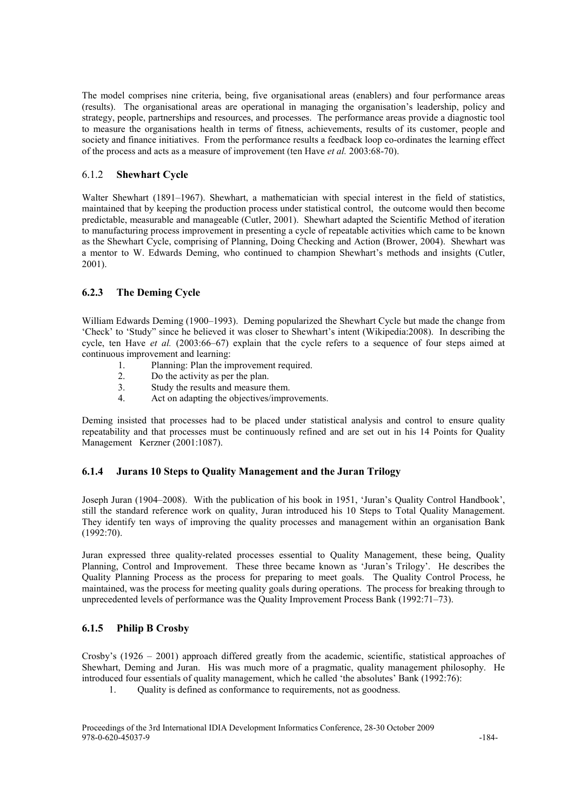The model comprises nine criteria, being, five organisational areas (enablers) and four performance areas (results). The organisational areas are operational in managing the organisation's leadership, policy and strategy, people, partnerships and resources, and processes. The performance areas provide a diagnostic tool to measure the organisations health in terms of fitness, achievements, results of its customer, people and society and finance initiatives. From the performance results a feedback loop co-ordinates the learning effect of the process and acts as a measure of improvement (ten Have et al. 2003:68-70).

#### 6.1.2 Shewhart Cycle

Walter Shewhart (1891–1967). Shewhart, a mathematician with special interest in the field of statistics, maintained that by keeping the production process under statistical control, the outcome would then become predictable, measurable and manageable (Cutler, 2001). Shewhart adapted the Scientific Method of iteration to manufacturing process improvement in presenting a cycle of repeatable activities which came to be known as the Shewhart Cycle, comprising of Planning, Doing Checking and Action (Brower, 2004). Shewhart was a mentor to W. Edwards Deming, who continued to champion Shewhart's methods and insights (Cutler, 2001).

#### 6.2.3 The Deming Cycle

William Edwards Deming (1900–1993). Deming popularized the Shewhart Cycle but made the change from 'Check' to 'Study" since he believed it was closer to Shewhart's intent (Wikipedia:2008). In describing the cycle, ten Have et al. (2003:66–67) explain that the cycle refers to a sequence of four steps aimed at continuous improvement and learning:

- 1. Planning: Plan the improvement required.<br>2. Do the activity as per the plan
- Do the activity as per the plan.
- 3. Study the results and measure them.
- 4. Act on adapting the objectives/improvements.

Deming insisted that processes had to be placed under statistical analysis and control to ensure quality repeatability and that processes must be continuously refined and are set out in his 14 Points for Quality Management Kerzner (2001:1087).

#### 6.1.4 Jurans 10 Steps to Quality Management and the Juran Trilogy

Joseph Juran (1904–2008). With the publication of his book in 1951, 'Juran's Quality Control Handbook', still the standard reference work on quality, Juran introduced his 10 Steps to Total Quality Management. They identify ten ways of improving the quality processes and management within an organisation Bank (1992:70).

Juran expressed three quality-related processes essential to Quality Management, these being, Quality Planning, Control and Improvement. These three became known as 'Juran's Trilogy'. He describes the Quality Planning Process as the process for preparing to meet goals. The Quality Control Process, he maintained, was the process for meeting quality goals during operations. The process for breaking through to unprecedented levels of performance was the Quality Improvement Process Bank (1992:71–73).

#### 6.1.5 Philip B Crosby

Crosby's (1926 – 2001) approach differed greatly from the academic, scientific, statistical approaches of Shewhart, Deming and Juran. His was much more of a pragmatic, quality management philosophy. He introduced four essentials of quality management, which he called 'the absolutes' Bank (1992:76):

1. Quality is defined as conformance to requirements, not as goodness.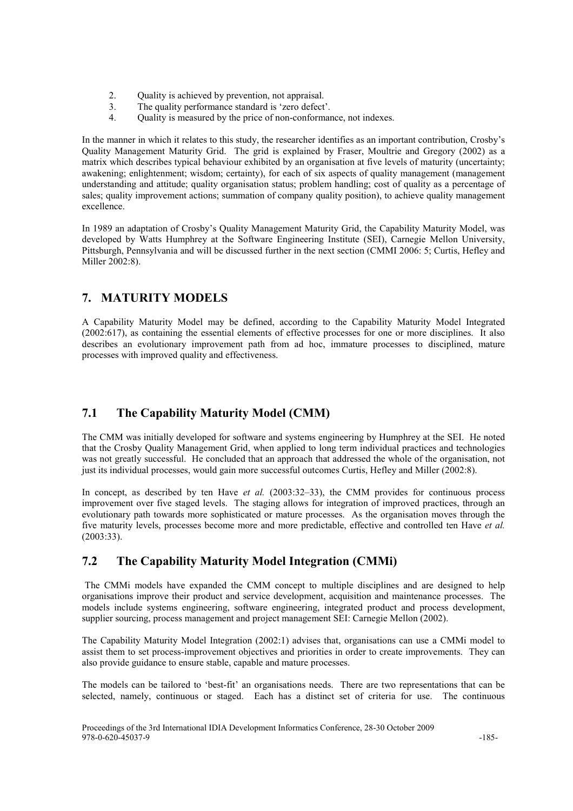- 2. Quality is achieved by prevention, not appraisal.
- 3. The quality performance standard is 'zero defect'.<br>4. Ouality is measured by the price of non-conformal
- Quality is measured by the price of non-conformance, not indexes.

In the manner in which it relates to this study, the researcher identifies as an important contribution, Crosby's Quality Management Maturity Grid. The grid is explained by Fraser, Moultrie and Gregory (2002) as a matrix which describes typical behaviour exhibited by an organisation at five levels of maturity (uncertainty; awakening; enlightenment; wisdom; certainty), for each of six aspects of quality management (management understanding and attitude; quality organisation status; problem handling; cost of quality as a percentage of sales; quality improvement actions; summation of company quality position), to achieve quality management excellence.

In 1989 an adaptation of Crosby's Quality Management Maturity Grid, the Capability Maturity Model, was developed by Watts Humphrey at the Software Engineering Institute (SEI), Carnegie Mellon University, Pittsburgh, Pennsylvania and will be discussed further in the next section (CMMI 2006: 5; Curtis, Hefley and Miller 2002:8).

## 7. MATURITY MODELS

A Capability Maturity Model may be defined, according to the Capability Maturity Model Integrated (2002:617), as containing the essential elements of effective processes for one or more disciplines. It also describes an evolutionary improvement path from ad hoc, immature processes to disciplined, mature processes with improved quality and effectiveness.

## 7.1 The Capability Maturity Model (CMM)

The CMM was initially developed for software and systems engineering by Humphrey at the SEI. He noted that the Crosby Quality Management Grid, when applied to long term individual practices and technologies was not greatly successful. He concluded that an approach that addressed the whole of the organisation, not just its individual processes, would gain more successful outcomes Curtis, Hefley and Miller (2002:8).

In concept, as described by ten Have et al.  $(2003:32-33)$ , the CMM provides for continuous process improvement over five staged levels. The staging allows for integration of improved practices, through an evolutionary path towards more sophisticated or mature processes. As the organisation moves through the five maturity levels, processes become more and more predictable, effective and controlled ten Have et al. (2003:33).

## 7.2 The Capability Maturity Model Integration (CMMi)

The CMMi models have expanded the CMM concept to multiple disciplines and are designed to help organisations improve their product and service development, acquisition and maintenance processes. The models include systems engineering, software engineering, integrated product and process development, supplier sourcing, process management and project management SEI: Carnegie Mellon (2002).

The Capability Maturity Model Integration (2002:1) advises that, organisations can use a CMMi model to assist them to set process-improvement objectives and priorities in order to create improvements. They can also provide guidance to ensure stable, capable and mature processes.

The models can be tailored to 'best-fit' an organisations needs. There are two representations that can be selected, namely, continuous or staged. Each has a distinct set of criteria for use. The continuous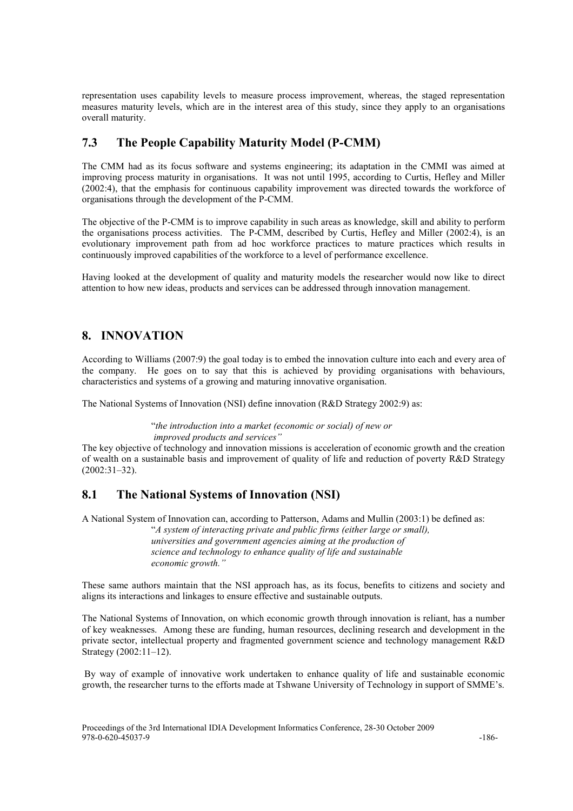representation uses capability levels to measure process improvement, whereas, the staged representation measures maturity levels, which are in the interest area of this study, since they apply to an organisations overall maturity.

## 7.3 The People Capability Maturity Model (P-CMM)

The CMM had as its focus software and systems engineering; its adaptation in the CMMI was aimed at improving process maturity in organisations. It was not until 1995, according to Curtis, Hefley and Miller (2002:4), that the emphasis for continuous capability improvement was directed towards the workforce of organisations through the development of the P-CMM.

The objective of the P-CMM is to improve capability in such areas as knowledge, skill and ability to perform the organisations process activities. The P-CMM, described by Curtis, Hefley and Miller (2002:4), is an evolutionary improvement path from ad hoc workforce practices to mature practices which results in continuously improved capabilities of the workforce to a level of performance excellence.

Having looked at the development of quality and maturity models the researcher would now like to direct attention to how new ideas, products and services can be addressed through innovation management.

## 8. INNOVATION

According to Williams (2007:9) the goal today is to embed the innovation culture into each and every area of the company. He goes on to say that this is achieved by providing organisations with behaviours, characteristics and systems of a growing and maturing innovative organisation.

The National Systems of Innovation (NSI) define innovation (R&D Strategy 2002:9) as:

 "the introduction into a market (economic or social) of new or improved products and services"

The key objective of technology and innovation missions is acceleration of economic growth and the creation of wealth on a sustainable basis and improvement of quality of life and reduction of poverty R&D Strategy (2002:31–32).

## 8.1 The National Systems of Innovation (NSI)

A National System of Innovation can, according to Patterson, Adams and Mullin (2003:1) be defined as:

 "A system of interacting private and public firms (either large or small), universities and government agencies aiming at the production of science and technology to enhance quality of life and sustainable economic growth."

These same authors maintain that the NSI approach has, as its focus, benefits to citizens and society and aligns its interactions and linkages to ensure effective and sustainable outputs.

The National Systems of Innovation, on which economic growth through innovation is reliant, has a number of key weaknesses. Among these are funding, human resources, declining research and development in the private sector, intellectual property and fragmented government science and technology management R&D Strategy (2002:11–12).

 By way of example of innovative work undertaken to enhance quality of life and sustainable economic growth, the researcher turns to the efforts made at Tshwane University of Technology in support of SMME's.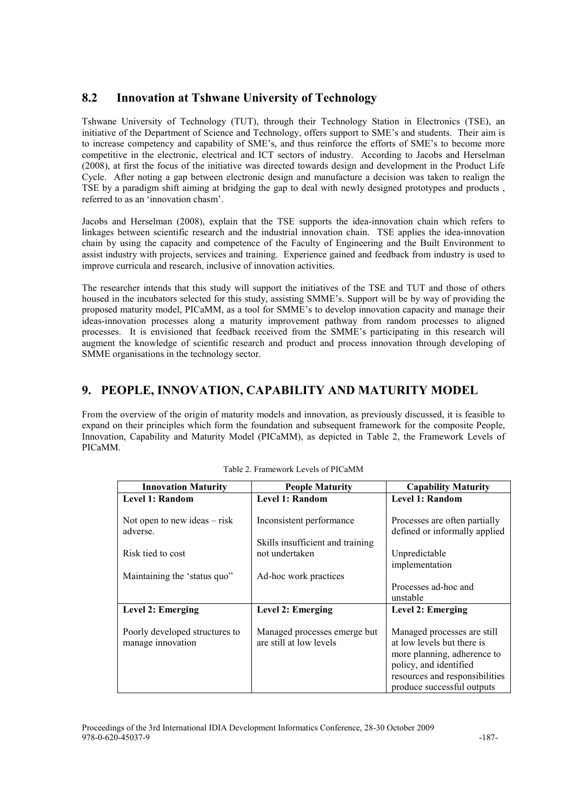## 8.2 Innovation at Tshwane University of Technology

Tshwane University of Technology (TUT), through their Technology Station in Electronics (TSE), an initiative of the Department of Science and Technology, offers support to SME's and students. Their aim is to increase competency and capability of SME's, and thus reinforce the efforts of SME's to become more competitive in the electronic, electrical and ICT sectors of industry. According to Jacobs and Herselman (2008), at first the focus of the initiative was directed towards design and development in the Product Life Cycle. After noting a gap between electronic design and manufacture a decision was taken to realign the TSE by a paradigm shift aiming at bridging the gap to deal with newly designed prototypes and products , referred to as an 'innovation chasm'.

Jacobs and Herselman (2008), explain that the TSE supports the idea-innovation chain which refers to linkages between scientific research and the industrial innovation chain. TSE applies the idea-innovation chain by using the capacity and competence of the Faculty of Engineering and the Built Environment to assist industry with projects, services and training. Experience gained and feedback from industry is used to improve curricula and research, inclusive of innovation activities.

The researcher intends that this study will support the initiatives of the TSE and TUT and those of others housed in the incubators selected for this study, assisting SMME's. Support will be by way of providing the proposed maturity model, PICaMM, as a tool for SMME's to develop innovation capacity and manage their ideas-innovation processes along a maturity improvement pathway from random processes to aligned processes. It is envisioned that feedback received from the SMME's participating in this research will augment the knowledge of scientific research and product and process innovation through developing of SMME organisations in the technology sector.

## 9. PEOPLE, INNOVATION, CAPABILITY AND MATURITY MODEL

From the overview of the origin of maturity models and innovation, as previously discussed, it is feasible to expand on their principles which form the foundation and subsequent framework for the composite People, Innovation, Capability and Maturity Model (PICaMM), as depicted in Table 2, the Framework Levels of PICaMM.

| <b>Innovation Maturity</b>                          | <b>People Maturity</b>                                  | <b>Capability Maturity</b>                                                                                         |  |
|-----------------------------------------------------|---------------------------------------------------------|--------------------------------------------------------------------------------------------------------------------|--|
| Level 1: Random                                     | Level 1: Random                                         | Level 1: Random                                                                                                    |  |
| Not open to new ideas $-$ risk<br>adverse.          | Inconsistent performance                                | Processes are often partially<br>defined or informally applied                                                     |  |
|                                                     | Skills insufficient and training                        |                                                                                                                    |  |
| Risk tied to cost                                   | not undertaken                                          | Unpredictable                                                                                                      |  |
|                                                     |                                                         | implementation                                                                                                     |  |
| Maintaining the 'status quo"                        | Ad-hoc work practices                                   |                                                                                                                    |  |
|                                                     |                                                         | Processes ad-hoc and                                                                                               |  |
|                                                     |                                                         | unstable                                                                                                           |  |
| Level 2: Emerging                                   | Level 2: Emerging                                       | Level 2: Emerging                                                                                                  |  |
|                                                     |                                                         |                                                                                                                    |  |
| Poorly developed structures to<br>manage innovation | Managed processes emerge but<br>are still at low levels | Managed processes are still<br>at low levels but there is<br>more planning, adherence to<br>policy, and identified |  |
|                                                     |                                                         | resources and responsibilities<br>produce successful outputs                                                       |  |

Table 2. Framework Levels of PICaMM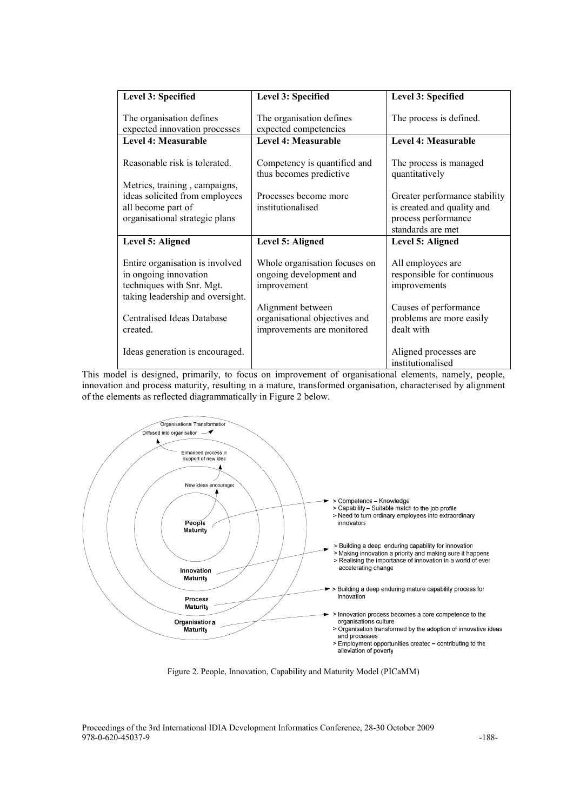| Level 3: Specified                                                                                                        | Level 3: Specified                                                                                                                                  | Level 3: Specified                                                                 |  |
|---------------------------------------------------------------------------------------------------------------------------|-----------------------------------------------------------------------------------------------------------------------------------------------------|------------------------------------------------------------------------------------|--|
| The organisation defines<br>expected innovation processes                                                                 | The organisation defines<br>expected competencies                                                                                                   | The process is defined.                                                            |  |
| Level 4: Measurable                                                                                                       | Level 4: Measurable                                                                                                                                 | Level 4: Measurable                                                                |  |
| Reasonable risk is tolerated.                                                                                             | Competency is quantified and<br>thus becomes predictive                                                                                             | The process is managed<br>quantitatively                                           |  |
| Metrics, training, campaigns,<br>ideas solicited from employees<br>all become part of<br>organisational strategic plans   | Processes become more<br>institutionalised                                                                                                          | Greater performance stability<br>is created and quality and<br>process performance |  |
|                                                                                                                           |                                                                                                                                                     | standards are met                                                                  |  |
| Level 5: Aligned                                                                                                          | Level 5: Aligned                                                                                                                                    | Level 5: Aligned                                                                   |  |
| Entire organisation is involved<br>in ongoing innovation<br>techniques with Snr. Mgt.<br>taking leadership and oversight. | Whole organisation focuses on<br>ongoing development and<br>improvement                                                                             | All employees are<br>responsible for continuous<br>improvements                    |  |
| <b>Centralised Ideas Database</b><br>created.                                                                             | Causes of performance<br>Alignment between<br>organisational objectives and<br>problems are more easily<br>dealt with<br>improvements are monitored |                                                                                    |  |
| Ideas generation is encouraged.                                                                                           |                                                                                                                                                     | Aligned processes are<br>institutionalised                                         |  |

This model is designed, primarily, to focus on improvement of organisational elements, namely, people, innovation and process maturity, resulting in a mature, transformed organisation, characterised by alignment of the elements as reflected diagrammatically in Figure 2 below.



Figure 2. People, Innovation, Capability and Maturity Model (PICaMM)

Proceedings of the 3rd International IDIA Development Informatics Conference, 28-30 October 2009 978-0-620-45037-9 -188-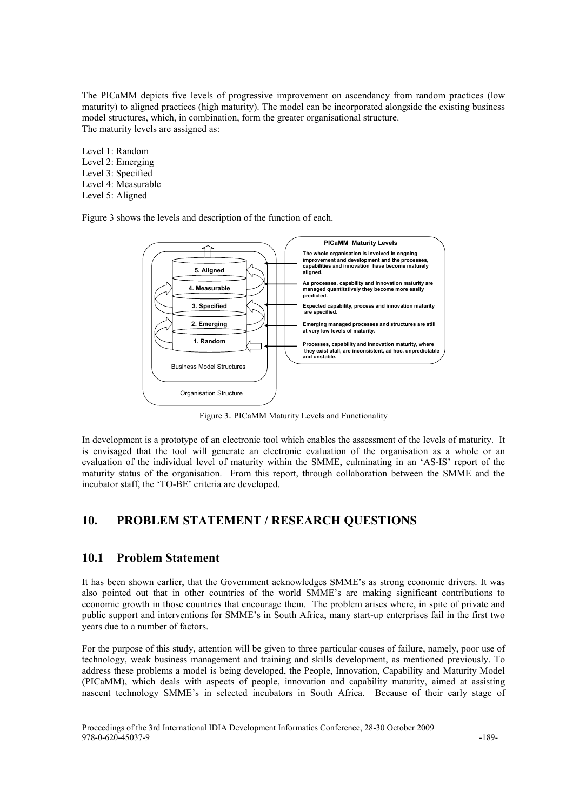The PICaMM depicts five levels of progressive improvement on ascendancy from random practices (low maturity) to aligned practices (high maturity). The model can be incorporated alongside the existing business model structures, which, in combination, form the greater organisational structure. The maturity levels are assigned as:

Level 1: Random Level 2: Emerging Level 3: Specified Level 4: Measurable Level 5: Aligned

Figure 3 shows the levels and description of the function of each.



Figure 3. PICaMM Maturity Levels and Functionality

In development is a prototype of an electronic tool which enables the assessment of the levels of maturity. It is envisaged that the tool will generate an electronic evaluation of the organisation as a whole or an evaluation of the individual level of maturity within the SMME, culminating in an 'AS-IS' report of the maturity status of the organisation. From this report, through collaboration between the SMME and the incubator staff, the 'TO-BE' criteria are developed.

#### 10. PROBLEM STATEMENT / RESEARCH QUESTIONS

#### 10.1 Problem Statement

It has been shown earlier, that the Government acknowledges SMME's as strong economic drivers. It was also pointed out that in other countries of the world SMME's are making significant contributions to economic growth in those countries that encourage them. The problem arises where, in spite of private and public support and interventions for SMME's in South Africa, many start-up enterprises fail in the first two years due to a number of factors.

For the purpose of this study, attention will be given to three particular causes of failure, namely, poor use of technology, weak business management and training and skills development, as mentioned previously. To address these problems a model is being developed, the People, Innovation, Capability and Maturity Model (PICaMM), which deals with aspects of people, innovation and capability maturity, aimed at assisting nascent technology SMME's in selected incubators in South Africa. Because of their early stage of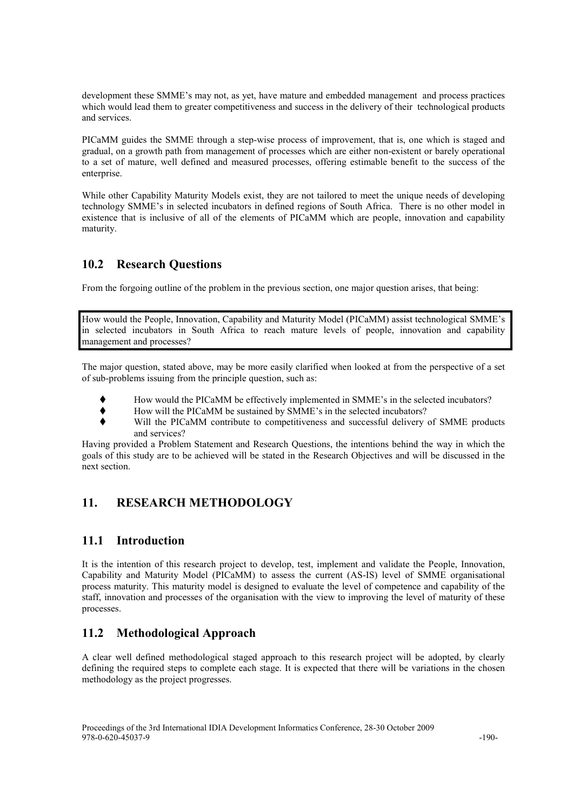development these SMME's may not, as yet, have mature and embedded management and process practices which would lead them to greater competitiveness and success in the delivery of their technological products and services.

PICaMM guides the SMME through a step-wise process of improvement, that is, one which is staged and gradual, on a growth path from management of processes which are either non-existent or barely operational to a set of mature, well defined and measured processes, offering estimable benefit to the success of the enterprise.

While other Capability Maturity Models exist, they are not tailored to meet the unique needs of developing technology SMME's in selected incubators in defined regions of South Africa. There is no other model in existence that is inclusive of all of the elements of PICaMM which are people, innovation and capability maturity.

## 10.2 Research Questions

From the forgoing outline of the problem in the previous section, one major question arises, that being:

How would the People, Innovation, Capability and Maturity Model (PICaMM) assist technological SMME's in selected incubators in South Africa to reach mature levels of people, innovation and capability management and processes?

The major question, stated above, may be more easily clarified when looked at from the perspective of a set of sub-problems issuing from the principle question, such as:

- How would the PICaMM be effectively implemented in SMME's in the selected incubators?
- How will the PICaMM be sustained by SMME's in the selected incubators?
- Will the PICaMM contribute to competitiveness and successful delivery of SMME products and services?

Having provided a Problem Statement and Research Questions, the intentions behind the way in which the goals of this study are to be achieved will be stated in the Research Objectives and will be discussed in the next section.

## 11. RESEARCH METHODOLOGY

## 11.1 Introduction

It is the intention of this research project to develop, test, implement and validate the People, Innovation, Capability and Maturity Model (PICaMM) to assess the current (AS-IS) level of SMME organisational process maturity. This maturity model is designed to evaluate the level of competence and capability of the staff, innovation and processes of the organisation with the view to improving the level of maturity of these processes.

## 11.2 Methodological Approach

A clear well defined methodological staged approach to this research project will be adopted, by clearly defining the required steps to complete each stage. It is expected that there will be variations in the chosen methodology as the project progresses.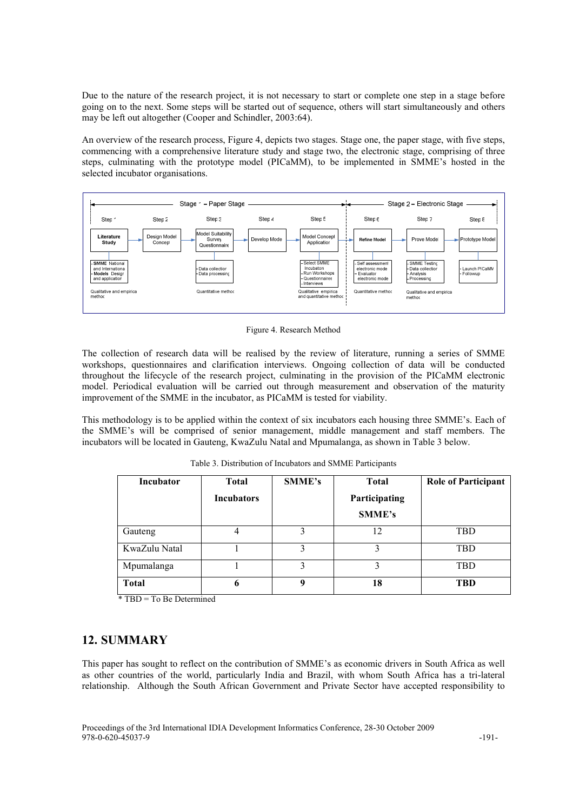Due to the nature of the research project, it is not necessary to start or complete one step in a stage before going on to the next. Some steps will be started out of sequence, others will start simultaneously and others may be left out altogether (Cooper and Schindler, 2003:64).

An overview of the research process, Figure 4, depicts two stages. Stage one, the paper stage, with five steps, commencing with a comprehensive literature study and stage two, the electronic stage, comprising of three steps, culminating with the prototype model (PICaMM), to be implemented in SMME's hosted in the selected incubator organisations.



Figure 4. Research Method

The collection of research data will be realised by the review of literature, running a series of SMME workshops, questionnaires and clarification interviews. Ongoing collection of data will be conducted throughout the lifecycle of the research project, culminating in the provision of the PICaMM electronic model. Periodical evaluation will be carried out through measurement and observation of the maturity improvement of the SMME in the incubator, as PICaMM is tested for viability.

This methodology is to be applied within the context of six incubators each housing three SMME's. Each of the SMME's will be comprised of senior management, middle management and staff members. The incubators will be located in Gauteng, KwaZulu Natal and Mpumalanga, as shown in Table 3 below.

| Incubator     | <b>Total</b>      | SMME's | <b>Total</b>  | <b>Role of Participant</b> |
|---------------|-------------------|--------|---------------|----------------------------|
|               | <b>Incubators</b> |        | Participating |                            |
|               |                   |        | SMME's        |                            |
| Gauteng       | 4                 | 3      | 12            | <b>TBD</b>                 |
| KwaZulu Natal |                   | 3      | 3             | <b>TBD</b>                 |
| Mpumalanga    |                   | 3      | 3             | <b>TBD</b>                 |
| <b>Total</b>  | 6                 |        | 18            | <b>TBD</b>                 |

Table 3. Distribution of Incubators and SMME Participants

\* TBD = To Be Determined

#### 12. SUMMARY

This paper has sought to reflect on the contribution of SMME's as economic drivers in South Africa as well as other countries of the world, particularly India and Brazil, with whom South Africa has a tri-lateral relationship. Although the South African Government and Private Sector have accepted responsibility to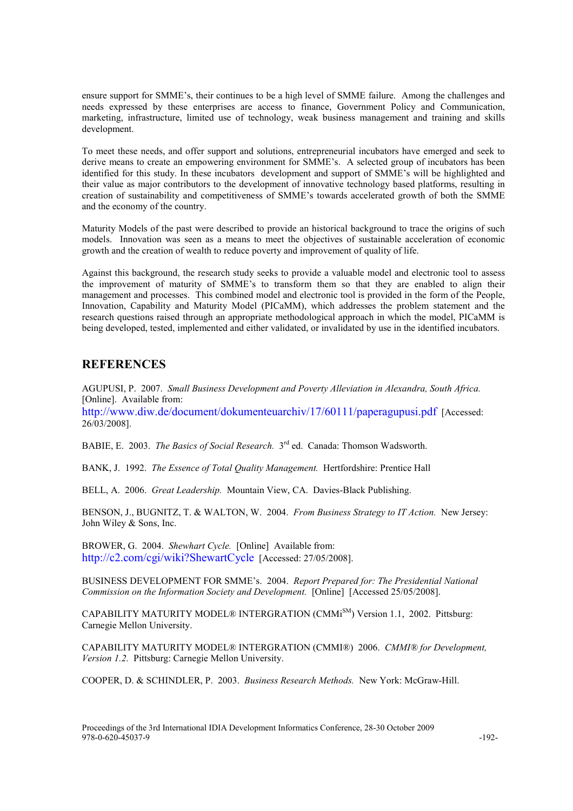ensure support for SMME's, their continues to be a high level of SMME failure. Among the challenges and needs expressed by these enterprises are access to finance, Government Policy and Communication, marketing, infrastructure, limited use of technology, weak business management and training and skills development.

To meet these needs, and offer support and solutions, entrepreneurial incubators have emerged and seek to derive means to create an empowering environment for SMME's. A selected group of incubators has been identified for this study. In these incubators development and support of SMME's will be highlighted and their value as major contributors to the development of innovative technology based platforms, resulting in creation of sustainability and competitiveness of SMME's towards accelerated growth of both the SMME and the economy of the country.

Maturity Models of the past were described to provide an historical background to trace the origins of such models. Innovation was seen as a means to meet the objectives of sustainable acceleration of economic growth and the creation of wealth to reduce poverty and improvement of quality of life.

Against this background, the research study seeks to provide a valuable model and electronic tool to assess the improvement of maturity of SMME's to transform them so that they are enabled to align their management and processes. This combined model and electronic tool is provided in the form of the People, Innovation, Capability and Maturity Model (PICaMM), which addresses the problem statement and the research questions raised through an appropriate methodological approach in which the model, PICaMM is being developed, tested, implemented and either validated, or invalidated by use in the identified incubators.

#### **REFERENCES**

AGUPUSI, P. 2007. Small Business Development and Poverty Alleviation in Alexandra, South Africa. [Online]. Available from:

http://www.diw.de/document/dokumenteuarchiv/17/60111/paperagupusi.pdf [Accessed: 26/03/2008].

BABIE, E. 2003. The Basics of Social Research. 3<sup>rd</sup> ed. Canada: Thomson Wadsworth.

BANK, J. 1992. The Essence of Total Quality Management. Hertfordshire: Prentice Hall

BELL, A. 2006. Great Leadership. Mountain View, CA. Davies-Black Publishing.

BENSON, J., BUGNITZ, T. & WALTON, W. 2004. From Business Strategy to IT Action. New Jersey: John Wiley & Sons, Inc.

BROWER, G. 2004. Shewhart Cycle. [Online] Available from: http://c2.com/cgi/wiki?ShewartCycle [Accessed: 27/05/2008].

BUSINESS DEVELOPMENT FOR SMME's. 2004. Report Prepared for: The Presidential /ational Commission on the Information Society and Development. [Online] [Accessed 25/05/2008].

CAPABILITY MATURITY MODEL® INTERGRATION (CMMiSM) Version 1.1, 2002. Pittsburg: Carnegie Mellon University.

CAPABILITY MATURITY MODEL® INTERGRATION (CMMI®) 2006. CMMI® for Development, Version 1.2. Pittsburg: Carnegie Mellon University.

COOPER, D. & SCHINDLER, P. 2003. Business Research Methods. New York: McGraw-Hill.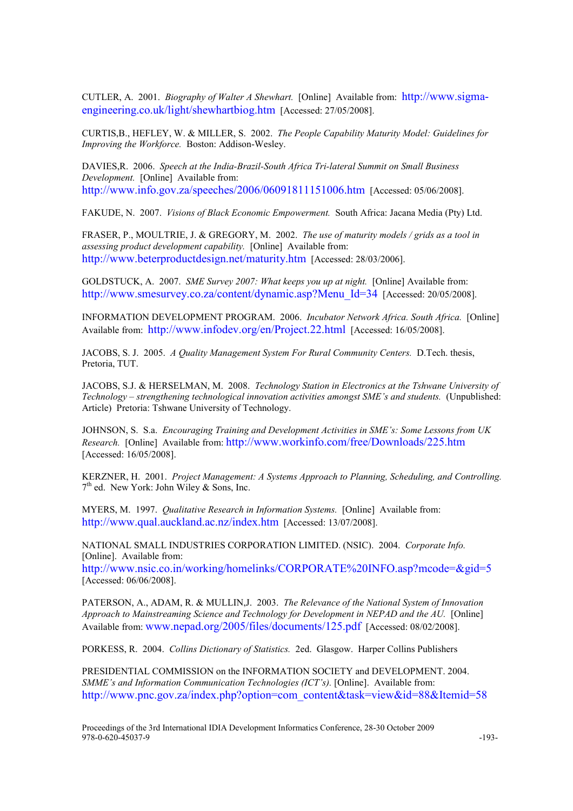CUTLER, A. 2001. Biography of Walter A Shewhart. [Online] Available from: http://www.sigmaengineering.co.uk/light/shewhartbiog.htm [Accessed: 27/05/2008].

CURTIS,B., HEFLEY, W. & MILLER, S. 2002. The People Capability Maturity Model: Guidelines for Improving the Workforce. Boston: Addison-Wesley.

DAVIES,R. 2006. Speech at the India-Brazil-South Africa Tri-lateral Summit on Small Business Development. [Online] Available from: http://www.info.gov.za/speeches/2006/06091811151006.htm [Accessed: 05/06/2008].

FAKUDE, N. 2007. Visions of Black Economic Empowerment. South Africa: Jacana Media (Pty) Ltd.

FRASER, P., MOULTRIE, J. & GREGORY, M. 2002. The use of maturity models / grids as a tool in assessing product development capability. [Online] Available from: http://www.beterproductdesign.net/maturity.htm [Accessed: 28/03/2006].

GOLDSTUCK, A. 2007. SME Survey 2007: What keeps you up at night. [Online] Available from: http://www.smesurvey.co.za/content/dynamic.asp?Menu\_Id=34 [Accessed: 20/05/2008].

INFORMATION DEVELOPMENT PROGRAM. 2006. Incubator Network Africa. South Africa. [Online] Available from: http://www.infodev.org/en/Project.22.html [Accessed: 16/05/2008].

JACOBS, S. J. 2005. A Quality Management System For Rural Community Centers. D.Tech. thesis, Pretoria, TUT.

JACOBS, S.J. & HERSELMAN, M. 2008. Technology Station in Electronics at the Tshwane University of Technology – strengthening technological innovation activities amongst SME's and students. (Unpublished: Article) Pretoria: Tshwane University of Technology.

JOHNSON, S. S.a. Encouraging Training and Development Activities in SME's: Some Lessons from UK Research. [Online] Available from: http://www.workinfo.com/free/Downloads/225.htm [Accessed: 16/05/2008].

KERZNER, H. 2001. Project Management: A Systems Approach to Planning, Scheduling, and Controlling. 7<sup>th</sup> ed. New York: John Wiley & Sons, Inc.

MYERS, M. 1997. Qualitative Research in Information Systems. [Online] Available from: http://www.qual.auckland.ac.nz/index.htm [Accessed: 13/07/2008].

NATIONAL SMALL INDUSTRIES CORPORATION LIMITED. (NSIC). 2004. Corporate Info. [Online]. Available from:

http://www.nsic.co.in/working/homelinks/CORPORATE%20INFO.asp?mcode=&gid=5 [Accessed: 06/06/2008].

PATERSON, A., ADAM, R. & MULLIN, J. 2003. The Relevance of the National System of Innovation Approach to Mainstreaming Science and Technology for Development in /EPAD and the AU. [Online] Available from: www.nepad.org/2005/files/documents/125.pdf [Accessed: 08/02/2008].

PORKESS, R. 2004. Collins Dictionary of Statistics. 2ed. Glasgow. Harper Collins Publishers

PRESIDENTIAL COMMISSION on the INFORMATION SOCIETY and DEVELOPMENT. 2004. SMME's and Information Communication Technologies (ICT's). [Online]. Available from: http://www.pnc.gov.za/index.php?option=com\_content&task=view&id=88&Itemid=58

Proceedings of the 3rd International IDIA Development Informatics Conference, 28-30 October 2009 978-0-620-45037-9 -193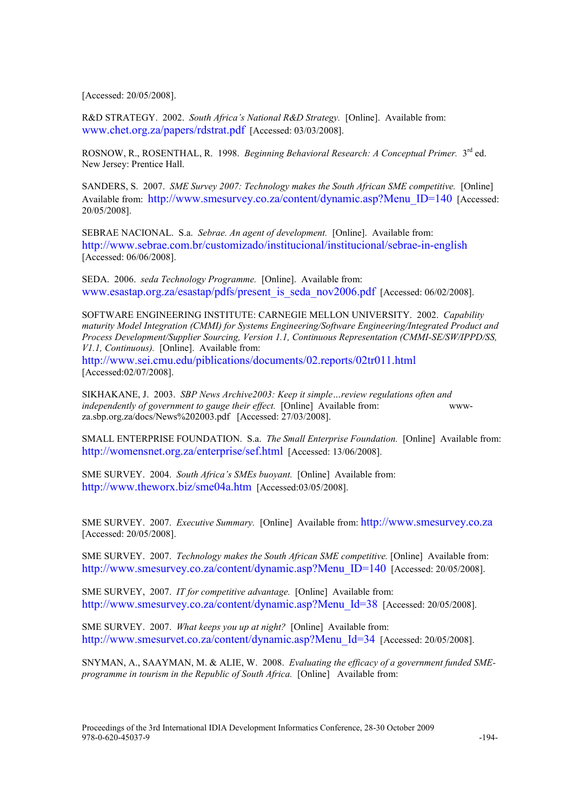[Accessed: 20/05/2008].

R&D STRATEGY. 2002. South Africa's National R&D Strategy. [Online]. Available from: www.chet.org.za/papers/rdstrat.pdf [Accessed: 03/03/2008].

ROSNOW, R., ROSENTHAL, R. 1998. Beginning Behavioral Research: A Conceptual Primer. 3<sup>rd</sup> ed. New Jersey: Prentice Hall.

SANDERS, S. 2007. SME Survey 2007: Technology makes the South African SME competitive. [Online] Available from: http://www.smesurvey.co.za/content/dynamic.asp?Menu ID=140 [Accessed: 20/05/2008].

SEBRAE NACIONAL. S.a. Sebrae. An agent of development. [Online]. Available from: http://www.sebrae.com.br/customizado/institucional/institucional/sebrae-in-english [Accessed: 06/06/2008].

SEDA. 2006. seda Technology Programme. [Online]. Available from: www.esastap.org.za/esastap/pdfs/present\_is\_seda\_nov2006.pdf [Accessed: 06/02/2008].

SOFTWARE ENGINEERING INSTITUTE: CARNEGIE MELLON UNIVERSITY. 2002. Capability maturity Model Integration (CMMI) for Systems Engineering/Software Engineering/Integrated Product and Process Development/Supplier Sourcing, Version 1.1, Continuous Representation (CMMI-SE/SW/IPPD/SS, V1.1, Continuous). [Online]. Available from:

http://www.sei.cmu.edu/piblications/documents/02.reports/02tr011.html [Accessed:02/07/2008].

SIKHAKANE, J. 2003. SBP News Archive2003: Keep it simple...review regulations often and independently of government to gauge their effect. [Online] Available from: wwwza.sbp.org.za/docs/News%202003.pdf [Accessed: 27/03/2008].

SMALL ENTERPRISE FOUNDATION. S.a. The Small Enterprise Foundation. [Online] Available from: http://womensnet.org.za/enterprise/sef.html [Accessed: 13/06/2008].

SME SURVEY. 2004. South Africa's SMEs buoyant. [Online] Available from: http://www.theworx.biz/sme04a.htm [Accessed:03/05/2008].

SME SURVEY. 2007. Executive Summary. [Online] Available from: http://www.smesurvey.co.za [Accessed: 20/05/2008].

SME SURVEY. 2007. Technology makes the South African SME competitive. [Online] Available from: http://www.smesurvey.co.za/content/dynamic.asp?Menu\_ID=140 [Accessed: 20/05/2008].

SME SURVEY, 2007. IT for competitive advantage. [Online] Available from: http://www.smesurvey.co.za/content/dynamic.asp?Menu\_Id=38 [Accessed: 20/05/2008].

SME SURVEY. 2007. What keeps you up at night? [Online] Available from: http://www.smesurvet.co.za/content/dynamic.asp?Menu\_Id=34 [Accessed: 20/05/2008].

SNYMAN, A., SAAYMAN, M. & ALIE, W. 2008. Evaluating the efficacy of a government funded SMEprogramme in tourism in the Republic of South Africa. [Online] Available from: